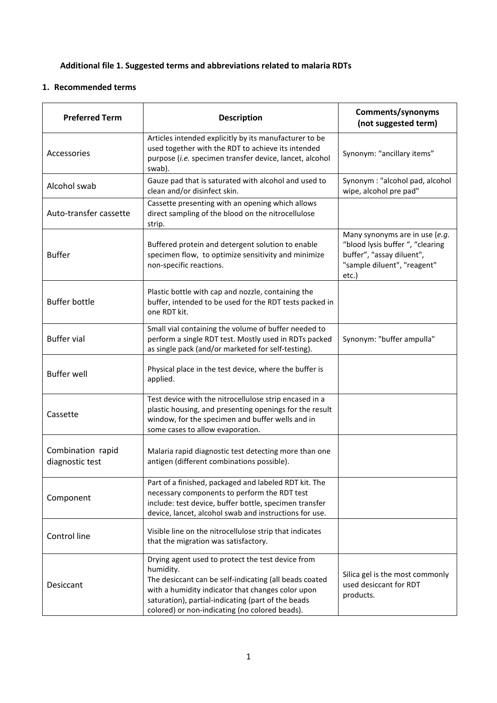## **Additional file 1. Suggested terms and abbreviations related to malaria RDTs**

## **1. Recommended terms**

| <b>Preferred Term</b>                | <b>Description</b>                                                                                                                                                                                                                                                                    | Comments/synonyms<br>(not suggested term)                                                                                               |  |
|--------------------------------------|---------------------------------------------------------------------------------------------------------------------------------------------------------------------------------------------------------------------------------------------------------------------------------------|-----------------------------------------------------------------------------------------------------------------------------------------|--|
| Accessories                          | Articles intended explicitly by its manufacturer to be<br>used together with the RDT to achieve its intended<br>purpose (i.e. specimen transfer device, lancet, alcohol<br>swab).                                                                                                     | Synonym: "ancillary items"                                                                                                              |  |
| Alcohol swab                         | Gauze pad that is saturated with alcohol and used to<br>clean and/or disinfect skin.                                                                                                                                                                                                  | Synonym : "alcohol pad, alcohol<br>wipe, alcohol pre pad"                                                                               |  |
| Auto-transfer cassette               | Cassette presenting with an opening which allows<br>direct sampling of the blood on the nitrocellulose<br>strip.                                                                                                                                                                      |                                                                                                                                         |  |
| <b>Buffer</b>                        | Buffered protein and detergent solution to enable<br>specimen flow, to optimize sensitivity and minimize<br>non-specific reactions.                                                                                                                                                   | Many synonyms are in use (e.g.<br>"blood lysis buffer ", "clearing<br>buffer", "assay diluent",<br>"sample diluent", "reagent"<br>etc.) |  |
| <b>Buffer bottle</b>                 | Plastic bottle with cap and nozzle, containing the<br>buffer, intended to be used for the RDT tests packed in<br>one RDT kit.                                                                                                                                                         |                                                                                                                                         |  |
| <b>Buffer vial</b>                   | Small vial containing the volume of buffer needed to<br>perform a single RDT test. Mostly used in RDTs packed<br>as single pack (and/or marketed for self-testing).                                                                                                                   | Synonym: "buffer ampulla"                                                                                                               |  |
| <b>Buffer well</b>                   | Physical place in the test device, where the buffer is<br>applied.                                                                                                                                                                                                                    |                                                                                                                                         |  |
| Cassette                             | Test device with the nitrocellulose strip encased in a<br>plastic housing, and presenting openings for the result<br>window, for the specimen and buffer wells and in<br>some cases to allow evaporation.                                                                             |                                                                                                                                         |  |
| Combination rapid<br>diagnostic test | Malaria rapid diagnostic test detecting more than one<br>antigen (different combinations possible).                                                                                                                                                                                   |                                                                                                                                         |  |
| Component                            | Part of a finished, packaged and labeled RDT kit. The<br>necessary components to perform the RDT test<br>include: test device, buffer bottle, specimen transfer<br>device, lancet, alcohol swab and instructions for use.                                                             |                                                                                                                                         |  |
| Control line                         | Visible line on the nitrocellulose strip that indicates<br>that the migration was satisfactory.                                                                                                                                                                                       |                                                                                                                                         |  |
| Desiccant                            | Drying agent used to protect the test device from<br>humidity.<br>The desiccant can be self-indicating (all beads coated<br>with a humidity indicator that changes color upon<br>saturation), partial-indicating (part of the beads<br>colored) or non-indicating (no colored beads). | Silica gel is the most commonly<br>used desiccant for RDT<br>products.                                                                  |  |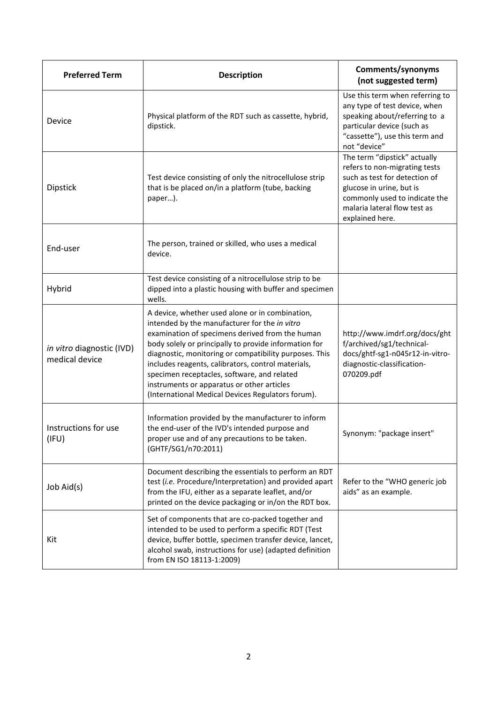| <b>Preferred Term</b>                       | <b>Description</b>                                                                                                                                                                                                                                                                                                                                                                                                                                                             | Comments/synonyms<br>(not suggested term)                                                                                                                                                                      |  |
|---------------------------------------------|--------------------------------------------------------------------------------------------------------------------------------------------------------------------------------------------------------------------------------------------------------------------------------------------------------------------------------------------------------------------------------------------------------------------------------------------------------------------------------|----------------------------------------------------------------------------------------------------------------------------------------------------------------------------------------------------------------|--|
| Device                                      | Physical platform of the RDT such as cassette, hybrid,<br>dipstick.                                                                                                                                                                                                                                                                                                                                                                                                            | Use this term when referring to<br>any type of test device, when<br>speaking about/referring to a<br>particular device (such as<br>"cassette"), use this term and<br>not "device"                              |  |
| <b>Dipstick</b>                             | Test device consisting of only the nitrocellulose strip<br>that is be placed on/in a platform (tube, backing<br>paper).                                                                                                                                                                                                                                                                                                                                                        | The term "dipstick" actually<br>refers to non-migrating tests<br>such as test for detection of<br>glucose in urine, but is<br>commonly used to indicate the<br>malaria lateral flow test as<br>explained here. |  |
| End-user                                    | The person, trained or skilled, who uses a medical<br>device.                                                                                                                                                                                                                                                                                                                                                                                                                  |                                                                                                                                                                                                                |  |
| Hybrid                                      | Test device consisting of a nitrocellulose strip to be<br>dipped into a plastic housing with buffer and specimen<br>wells.                                                                                                                                                                                                                                                                                                                                                     |                                                                                                                                                                                                                |  |
| in vitro diagnostic (IVD)<br>medical device | A device, whether used alone or in combination,<br>intended by the manufacturer for the in vitro<br>examination of specimens derived from the human<br>body solely or principally to provide information for<br>diagnostic, monitoring or compatibility purposes. This<br>includes reagents, calibrators, control materials,<br>specimen receptacles, software, and related<br>instruments or apparatus or other articles<br>(International Medical Devices Regulators forum). | http://www.imdrf.org/docs/ght<br>f/archived/sg1/technical-<br>docs/ghtf-sg1-n045r12-in-vitro-<br>diagnostic-classification-<br>070209.pdf                                                                      |  |
| Instructions for use<br>(IFU)               | Information provided by the manufacturer to inform<br>the end-user of the IVD's intended purpose and<br>proper use and of any precautions to be taken.<br>(GHTF/SG1/n70:2011)                                                                                                                                                                                                                                                                                                  | Synonym: "package insert"                                                                                                                                                                                      |  |
| Job Aid(s)                                  | Document describing the essentials to perform an RDT<br>test (i.e. Procedure/Interpretation) and provided apart<br>from the IFU, either as a separate leaflet, and/or<br>printed on the device packaging or in/on the RDT box.                                                                                                                                                                                                                                                 | Refer to the "WHO generic job<br>aids" as an example.                                                                                                                                                          |  |
| Kit                                         | Set of components that are co-packed together and<br>intended to be used to perform a specific RDT (Test<br>device, buffer bottle, specimen transfer device, lancet,<br>alcohol swab, instructions for use) (adapted definition<br>from EN ISO 18113-1:2009)                                                                                                                                                                                                                   |                                                                                                                                                                                                                |  |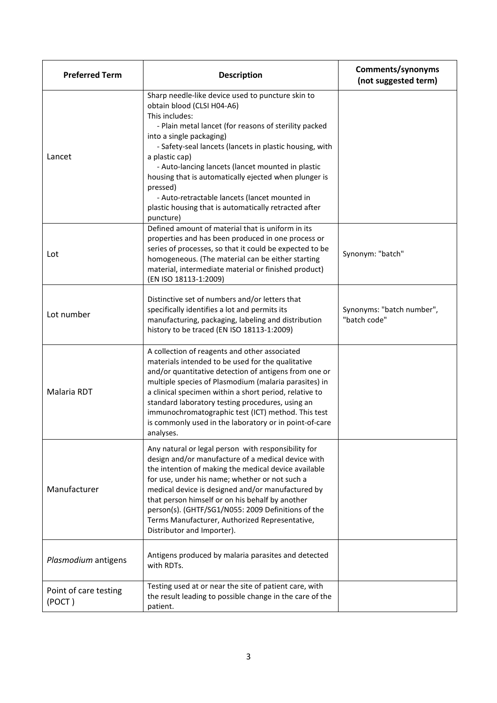| <b>Preferred Term</b>           | <b>Description</b>                                                                                                                                                                                                                                                                                                                                                                                                                                                                                                   | Comments/synonyms<br>(not suggested term) |
|---------------------------------|----------------------------------------------------------------------------------------------------------------------------------------------------------------------------------------------------------------------------------------------------------------------------------------------------------------------------------------------------------------------------------------------------------------------------------------------------------------------------------------------------------------------|-------------------------------------------|
| Lancet                          | Sharp needle-like device used to puncture skin to<br>obtain blood (CLSI H04-A6)<br>This includes:<br>- Plain metal lancet (for reasons of sterility packed<br>into a single packaging)<br>- Safety-seal lancets (lancets in plastic housing, with<br>a plastic cap)<br>- Auto-lancing lancets (lancet mounted in plastic<br>housing that is automatically ejected when plunger is<br>pressed)<br>- Auto-retractable lancets (lancet mounted in<br>plastic housing that is automatically retracted after<br>puncture) |                                           |
| Lot                             | Defined amount of material that is uniform in its<br>properties and has been produced in one process or<br>series of processes, so that it could be expected to be<br>homogeneous. (The material can be either starting<br>material, intermediate material or finished product)<br>(EN ISO 18113-1:2009)                                                                                                                                                                                                             | Synonym: "batch"                          |
| Lot number                      | Distinctive set of numbers and/or letters that<br>specifically identifies a lot and permits its<br>manufacturing, packaging, labeling and distribution<br>history to be traced (EN ISO 18113-1:2009)                                                                                                                                                                                                                                                                                                                 | Synonyms: "batch number",<br>"batch code" |
| Malaria RDT                     | A collection of reagents and other associated<br>materials intended to be used for the qualitative<br>and/or quantitative detection of antigens from one or<br>multiple species of Plasmodium (malaria parasites) in<br>a clinical specimen within a short period, relative to<br>standard laboratory testing procedures, using an<br>immunochromatographic test (ICT) method. This test<br>is commonly used in the laboratory or in point-of-care<br>analyses.                                                      |                                           |
| Manufacturer                    | Any natural or legal person with responsibility for<br>design and/or manufacture of a medical device with<br>the intention of making the medical device available<br>for use, under his name; whether or not such a<br>medical device is designed and/or manufactured by<br>that person himself or on his behalf by another<br>person(s). (GHTF/SG1/N055: 2009 Definitions of the<br>Terms Manufacturer, Authorized Representative,<br>Distributor and Importer).                                                    |                                           |
| Plasmodium antigens             | Antigens produced by malaria parasites and detected<br>with RDTs.                                                                                                                                                                                                                                                                                                                                                                                                                                                    |                                           |
| Point of care testing<br>(POCT) | Testing used at or near the site of patient care, with<br>the result leading to possible change in the care of the<br>patient.                                                                                                                                                                                                                                                                                                                                                                                       |                                           |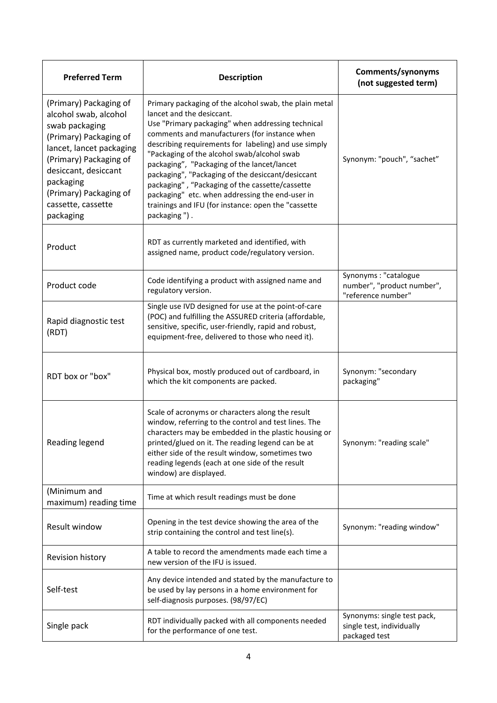| <b>Preferred Term</b>                                                                                                                                                                                                                               | <b>Description</b>                                                                                                                                                                                                                                                                                                                                                                                                                                                                                                                                                                | Comments/synonyms<br>(not suggested term)                                 |  |
|-----------------------------------------------------------------------------------------------------------------------------------------------------------------------------------------------------------------------------------------------------|-----------------------------------------------------------------------------------------------------------------------------------------------------------------------------------------------------------------------------------------------------------------------------------------------------------------------------------------------------------------------------------------------------------------------------------------------------------------------------------------------------------------------------------------------------------------------------------|---------------------------------------------------------------------------|--|
| (Primary) Packaging of<br>alcohol swab, alcohol<br>swab packaging<br>(Primary) Packaging of<br>lancet, lancet packaging<br>(Primary) Packaging of<br>desiccant, desiccant<br>packaging<br>(Primary) Packaging of<br>cassette, cassette<br>packaging | Primary packaging of the alcohol swab, the plain metal<br>lancet and the desiccant.<br>Use "Primary packaging" when addressing technical<br>comments and manufacturers (for instance when<br>describing requirements for labeling) and use simply<br>"Packaging of the alcohol swab/alcohol swab<br>packaging", "Packaging of the lancet/lancet<br>packaging", "Packaging of the desiccant/desiccant<br>packaging", "Packaging of the cassette/cassette<br>packaging" etc. when addressing the end-user in<br>trainings and IFU (for instance: open the "cassette<br>packaging"). | Synonym: "pouch", "sachet"                                                |  |
| Product                                                                                                                                                                                                                                             | RDT as currently marketed and identified, with<br>assigned name, product code/regulatory version.                                                                                                                                                                                                                                                                                                                                                                                                                                                                                 |                                                                           |  |
| Product code                                                                                                                                                                                                                                        | Code identifying a product with assigned name and<br>regulatory version.                                                                                                                                                                                                                                                                                                                                                                                                                                                                                                          | Synonyms: "catalogue<br>number", "product number",<br>"reference number"  |  |
| Rapid diagnostic test<br>(RDT)                                                                                                                                                                                                                      | Single use IVD designed for use at the point-of-care<br>(POC) and fulfilling the ASSURED criteria (affordable,<br>sensitive, specific, user-friendly, rapid and robust,<br>equipment-free, delivered to those who need it).                                                                                                                                                                                                                                                                                                                                                       |                                                                           |  |
| RDT box or "box"                                                                                                                                                                                                                                    | Physical box, mostly produced out of cardboard, in<br>which the kit components are packed.                                                                                                                                                                                                                                                                                                                                                                                                                                                                                        | Synonym: "secondary<br>packaging"                                         |  |
| Reading legend                                                                                                                                                                                                                                      | Scale of acronyms or characters along the result<br>window, referring to the control and test lines. The<br>characters may be embedded in the plastic housing or<br>printed/glued on it. The reading legend can be at<br>either side of the result window, sometimes two<br>reading legends (each at one side of the result<br>window) are displayed.                                                                                                                                                                                                                             | Synonym: "reading scale"                                                  |  |
| (Minimum and<br>maximum) reading time                                                                                                                                                                                                               | Time at which result readings must be done                                                                                                                                                                                                                                                                                                                                                                                                                                                                                                                                        |                                                                           |  |
| Result window                                                                                                                                                                                                                                       | Opening in the test device showing the area of the<br>strip containing the control and test line(s).                                                                                                                                                                                                                                                                                                                                                                                                                                                                              | Synonym: "reading window"                                                 |  |
| Revision history                                                                                                                                                                                                                                    | A table to record the amendments made each time a<br>new version of the IFU is issued.                                                                                                                                                                                                                                                                                                                                                                                                                                                                                            |                                                                           |  |
| Self-test                                                                                                                                                                                                                                           | Any device intended and stated by the manufacture to<br>be used by lay persons in a home environment for<br>self-diagnosis purposes. (98/97/EC)                                                                                                                                                                                                                                                                                                                                                                                                                                   |                                                                           |  |
| Single pack                                                                                                                                                                                                                                         | RDT individually packed with all components needed<br>for the performance of one test.                                                                                                                                                                                                                                                                                                                                                                                                                                                                                            | Synonyms: single test pack,<br>single test, individually<br>packaged test |  |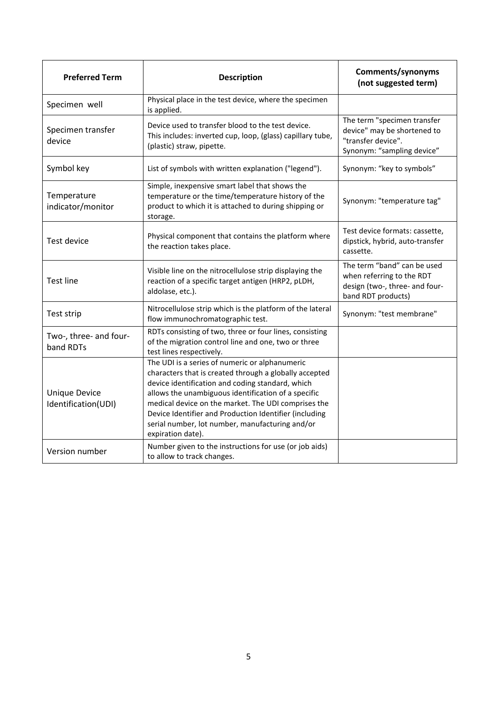| <b>Preferred Term</b>                       | <b>Description</b>                                                                                                                                                                                                                                                                                                                                                                                           | Comments/synonyms<br>(not suggested term)                                                                        |
|---------------------------------------------|--------------------------------------------------------------------------------------------------------------------------------------------------------------------------------------------------------------------------------------------------------------------------------------------------------------------------------------------------------------------------------------------------------------|------------------------------------------------------------------------------------------------------------------|
| Specimen well                               | Physical place in the test device, where the specimen<br>is applied.                                                                                                                                                                                                                                                                                                                                         |                                                                                                                  |
| Specimen transfer<br>device                 | Device used to transfer blood to the test device.<br>This includes: inverted cup, loop, (glass) capillary tube,<br>(plastic) straw, pipette.                                                                                                                                                                                                                                                                 | The term "specimen transfer<br>device" may be shortened to<br>"transfer device".<br>Synonym: "sampling device"   |
| Symbol key                                  | List of symbols with written explanation ("legend").                                                                                                                                                                                                                                                                                                                                                         | Synonym: "key to symbols"                                                                                        |
| Temperature<br>indicator/monitor            | Simple, inexpensive smart label that shows the<br>temperature or the time/temperature history of the<br>product to which it is attached to during shipping or<br>storage.                                                                                                                                                                                                                                    | Synonym: "temperature tag"                                                                                       |
| <b>Test device</b>                          | Physical component that contains the platform where<br>the reaction takes place.                                                                                                                                                                                                                                                                                                                             | Test device formats: cassette,<br>dipstick, hybrid, auto-transfer<br>cassette.                                   |
| <b>Test line</b>                            | Visible line on the nitrocellulose strip displaying the<br>reaction of a specific target antigen (HRP2, pLDH,<br>aldolase, etc.).                                                                                                                                                                                                                                                                            | The term "band" can be used<br>when referring to the RDT<br>design (two-, three- and four-<br>band RDT products) |
| Test strip                                  | Nitrocellulose strip which is the platform of the lateral<br>flow immunochromatographic test.                                                                                                                                                                                                                                                                                                                | Synonym: "test membrane"                                                                                         |
| Two-, three- and four-<br>band RDTs         | RDTs consisting of two, three or four lines, consisting<br>of the migration control line and one, two or three<br>test lines respectively.                                                                                                                                                                                                                                                                   |                                                                                                                  |
| <b>Unique Device</b><br>Identification(UDI) | The UDI is a series of numeric or alphanumeric<br>characters that is created through a globally accepted<br>device identification and coding standard, which<br>allows the unambiguous identification of a specific<br>medical device on the market. The UDI comprises the<br>Device Identifier and Production Identifier (including<br>serial number, lot number, manufacturing and/or<br>expiration date). |                                                                                                                  |
| Version number                              | Number given to the instructions for use (or job aids)<br>to allow to track changes.                                                                                                                                                                                                                                                                                                                         |                                                                                                                  |